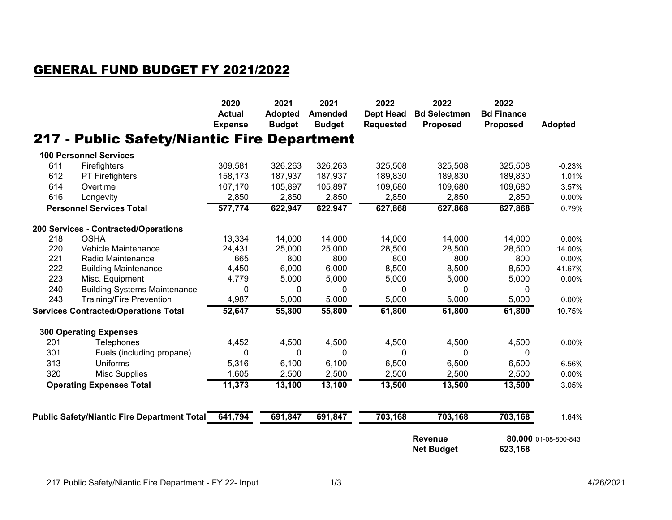## GENERAL FUND BUDGET FY 2021/2022

|                                             |                                                    | 2020<br><b>Actual</b><br><b>Expense</b> | 2021<br><b>Adopted</b><br><b>Budget</b> | 2021<br><b>Amended</b><br><b>Budget</b> | 2022<br><b>Dept Head</b><br><b>Requested</b>   | 2022<br><b>Bd Selectmen</b><br><b>Proposed</b> | 2022<br><b>Bd Finance</b><br><b>Proposed</b> | <b>Adopted</b> |
|---------------------------------------------|----------------------------------------------------|-----------------------------------------|-----------------------------------------|-----------------------------------------|------------------------------------------------|------------------------------------------------|----------------------------------------------|----------------|
|                                             | 217 - Public Safety/Niantic Fire Department        |                                         |                                         |                                         |                                                |                                                |                                              |                |
|                                             | <b>100 Personnel Services</b>                      |                                         |                                         |                                         |                                                |                                                |                                              |                |
| 611                                         | Firefighters                                       | 309,581                                 | 326,263                                 | 326,263                                 | 325,508                                        | 325,508                                        | 325,508                                      | $-0.23%$       |
| 612                                         | PT Firefighters                                    | 158,173                                 | 187,937                                 | 187,937                                 | 189,830                                        | 189,830                                        | 189,830                                      | 1.01%          |
| 614                                         | Overtime                                           | 107,170                                 | 105,897                                 | 105,897                                 | 109,680                                        | 109,680                                        | 109,680                                      | 3.57%          |
| 616                                         | Longevity                                          | 2,850                                   | 2,850                                   | 2,850                                   | 2,850                                          | 2,850                                          | 2,850                                        | 0.00%          |
|                                             | <b>Personnel Services Total</b>                    | 577,774                                 | 622,947                                 | 622,947                                 | 627,868                                        | 627,868                                        | 627,868                                      | 0.79%          |
|                                             | 200 Services - Contracted/Operations               |                                         |                                         |                                         |                                                |                                                |                                              |                |
| 218                                         | <b>OSHA</b>                                        | 13,334                                  | 14,000                                  | 14,000                                  | 14,000                                         | 14,000                                         | 14,000                                       | 0.00%          |
| 220                                         | Vehicle Maintenance                                | 24,431                                  | 25,000                                  | 25,000                                  | 28,500                                         | 28,500                                         | 28,500                                       | 14.00%         |
| 221                                         | Radio Maintenance                                  | 665                                     | 800                                     | 800                                     | 800                                            | 800                                            | 800                                          | 0.00%          |
| 222                                         | <b>Building Maintenance</b>                        | 4,450                                   | 6,000                                   | 6,000                                   | 8,500                                          | 8,500                                          | 8,500                                        | 41.67%         |
| 223                                         | Misc. Equipment                                    | 4,779                                   | 5,000                                   | 5,000                                   | 5,000                                          | 5,000                                          | 5,000                                        | 0.00%          |
| 240                                         | <b>Building Systems Maintenance</b>                | 0                                       | 0                                       | 0                                       | 0                                              | 0                                              | 0                                            |                |
| 243                                         | <b>Training/Fire Prevention</b>                    | 4,987                                   | 5,000                                   | 5,000                                   | 5,000                                          | 5,000                                          | 5,000                                        | 0.00%          |
| <b>Services Contracted/Operations Total</b> |                                                    | 52,647                                  | 55,800                                  | 55,800                                  | 61,800                                         | 61,800                                         | 61,800                                       | 10.75%         |
|                                             | <b>300 Operating Expenses</b>                      |                                         |                                         |                                         |                                                |                                                |                                              |                |
| 201                                         | <b>Telephones</b>                                  | 4,452                                   | 4,500                                   | 4,500                                   | 4,500                                          | 4,500                                          | 4,500                                        | 0.00%          |
| 301                                         | Fuels (including propane)                          | 0                                       | $\Omega$                                | $\Omega$                                | $\Omega$                                       | $\mathbf{0}$                                   | 0                                            |                |
| 313                                         | <b>Uniforms</b>                                    | 5,316                                   | 6,100                                   | 6,100                                   | 6,500                                          | 6,500                                          | 6,500                                        | 6.56%          |
| 320                                         | <b>Misc Supplies</b>                               | 1,605                                   | 2,500                                   | 2,500                                   | 2,500                                          | 2,500                                          | 2,500                                        | 0.00%          |
| <b>Operating Expenses Total</b>             |                                                    | 11,373                                  | 13,100                                  | 13,100                                  | 13,500                                         | 13,500                                         | 13,500                                       | 3.05%          |
|                                             |                                                    |                                         |                                         |                                         |                                                |                                                |                                              |                |
|                                             | <b>Public Safety/Niantic Fire Department Total</b> | 641,794                                 | 691,847                                 | 691,847                                 | 703,168                                        | 703,168                                        | 703,168                                      | 1.64%          |
|                                             |                                                    |                                         |                                         |                                         | <b>Revenue</b><br>623,168<br><b>Net Budget</b> |                                                | 80,000 01-08-800-843                         |                |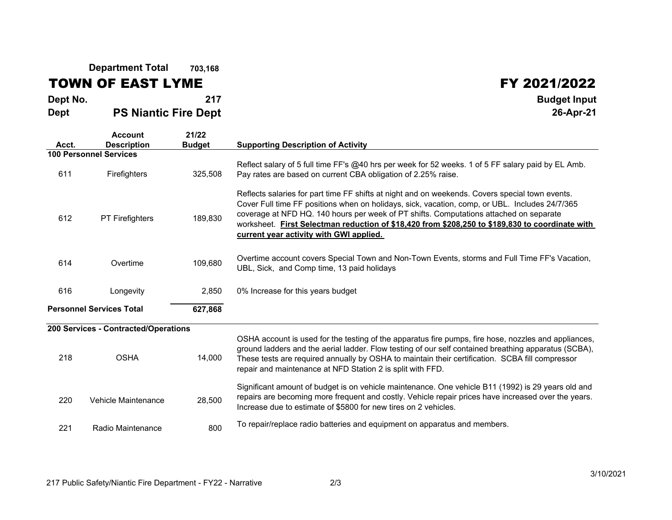**Department Total703,168**

## TOWN OF EAST LYME

**Acct.**

**FY 2021/2022**<br>Budget Input **Dept No. <sup>217</sup> Budget Input DeptPS Niantic Fire Dept**

## **26-Apr-21Account 21/22 Description Budget Supporting Description of Activity 100 Personnel Services**<sup>611</sup> Firefighters 325,508 Reflect salary of 5 full time FF's @40 hrs per week for 52 weeks. 1 of 5 FF salary paid by EL Amb. Pay rates are based on current CBA obligation of 2.25% raise. <sup>612</sup> PT Firefighters 189,830 Reflects salaries for part time FF shifts at night and on weekends. Covers special town events. Cover Full time FF positions when on holidays, sick, vacation, comp, or UBL. Includes 24/7/365 coverage at NFD HQ. 140 hours per week of PT shifts. Computations attached on separate worksheet. **First Selectman reduction of \$18,420 from \$208,250 to \$189,830 to coordinate with current year activity with GWI applied.** <sup>614</sup> Overtime 109,680 Overtime account covers Special Town and Non-Town Events, storms and Full Time FF's Vacation, UBL, Sick, and Comp time, 13 paid holidays <sup>616</sup> Longevity 2,850 0% Increase for this years budget

## **200 Services - Contracted/Operations**

**Personnel Services Total**

| 218 | <b>OSHA</b>         | 14.000 | OSHA account is used for the testing of the apparatus fire pumps, fire hose, nozzles and appliances,<br>ground ladders and the aerial ladder. Flow testing of our self contained breathing apparatus (SCBA),<br>These tests are required annually by OSHA to maintain their certification. SCBA fill compressor<br>repair and maintenance at NFD Station 2 is split with FFD. |
|-----|---------------------|--------|-------------------------------------------------------------------------------------------------------------------------------------------------------------------------------------------------------------------------------------------------------------------------------------------------------------------------------------------------------------------------------|
| 220 | Vehicle Maintenance | 28.500 | Significant amount of budget is on vehicle maintenance. One vehicle B11 (1992) is 29 years old and<br>repairs are becoming more frequent and costly. Vehicle repair prices have increased over the years.<br>Increase due to estimate of \$5800 for new tires on 2 vehicles.                                                                                                  |
| 221 | Radio Maintenance   | 800    | To repair/replace radio batteries and equipment on apparatus and members.                                                                                                                                                                                                                                                                                                     |

**627,868**